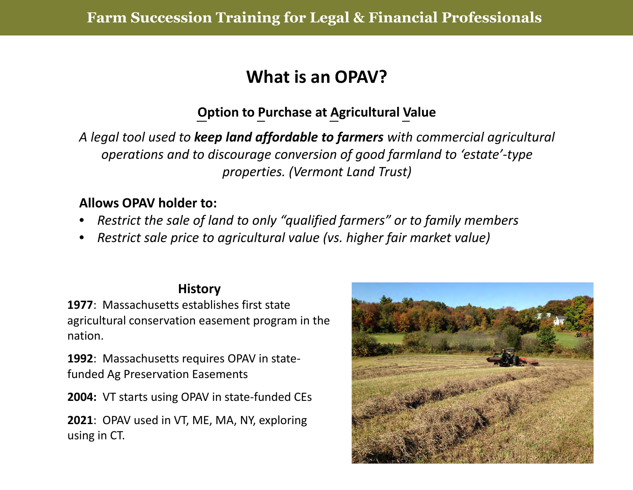## **What is an OPAV?**

### **Option to Purchase at Agricultural Value**

*A legal tool used to keep land affordable to farmers with commercial agricultural operations and to discourage conversion of good farmland to 'estate'‐type properties. (Vermont Land Trust)*

#### **Allows OPAV holder to:**

- •*Restrict the sale of land to only "qualified farmers" or to family members*
- •*Restrict sale price to agricultural value (vs. higher fair market value)*

#### **History**

**1977**: Massachusetts establishes first stateagricultural conservation easement program in the nation.

**1992**: Massachusetts requires OPAV in state‐ funded Ag Preservation Easements

**2004:** VT starts using OPAV in state‐funded CEs

**2021**: OPAV used in VT, ME, MA, NY, exploring using in CT.

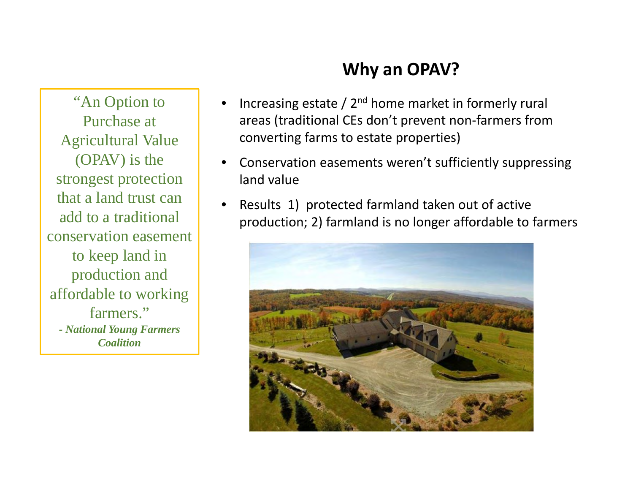### **Why an OPAV?**

"An Option to Purchase at Agricultural Value (OPAV) is the strongest protection that a land trust can add to a traditional conservation easement to keep land in production and affordable to working farmers."*- National Young Farmers Coalition*

- •Increasing estate  $/$  2<sup>nd</sup> home market in formerly rural areas (traditional CEs don't prevent non‐farmers from converting farms to estate properties)
- • Conservation easements weren't sufficiently suppressing land value
- •• Results 1) protected farmland taken out of active production; 2) farmland is no longer affordable to farmers

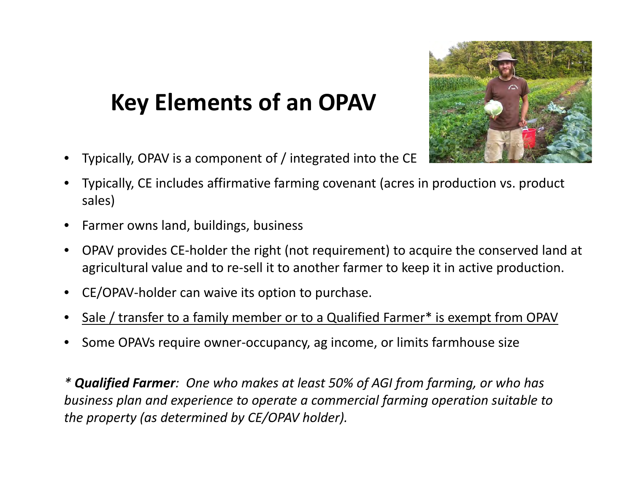# **Key Elements of an OPAV**

•Typically, OPAV is <sup>a</sup> component of / integrated into the CE



- • Typically, CE includes affirmative farming covenant (acres in production vs. product sales)
- •**•** Farmer owns land, buildings, business
- •● OPAV provides CE-holder the right (not requirement) to acquire the conserved land at agricultural value and to re‐sell it to another farmer to keep it in active production.
- •CE/OPAV‐holder can waive its option to purchase.
- •• Sale / transfer to a family member or to a Qualified Farmer\* is exempt from OPAV
- •● Some OPAVs require owner-occupancy, ag income, or limits farmhouse size

*\* Qualified Farmer: One who makes at least 50% of AGI from farming, or who has business plan and experience to operate <sup>a</sup> commercial farming operation suitable to the property (as determined by CE/OPAV holder).*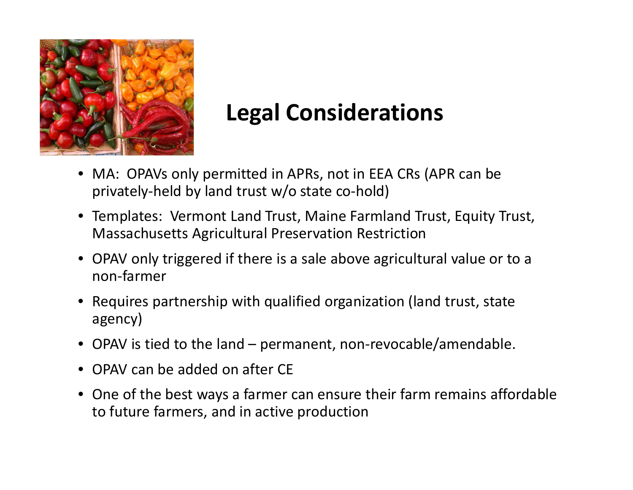

## **Legal Considerations**

- MA: OPAVs only permitted in APRs, not in EEA CRs (APR can be privately‐held by land trust w/o state co‐hold)
- Templates: Vermont Land Trust, Maine Farmland Trust, Equity Trust, Massachusetts Agricultural Preservation Restriction
- OPAV only triggered if there is <sup>a</sup> sale above agricultural value or to <sup>a</sup> non‐farmer
- Requires partnership with qualified organization (land trust, state agency)
- OPAV is tied to the land permanent, non‐revocable/amendable.
- OPAV can be added on after CE
- One of the best ways <sup>a</sup> farmer can ensure their farm remains affordable to future farmers, and in active production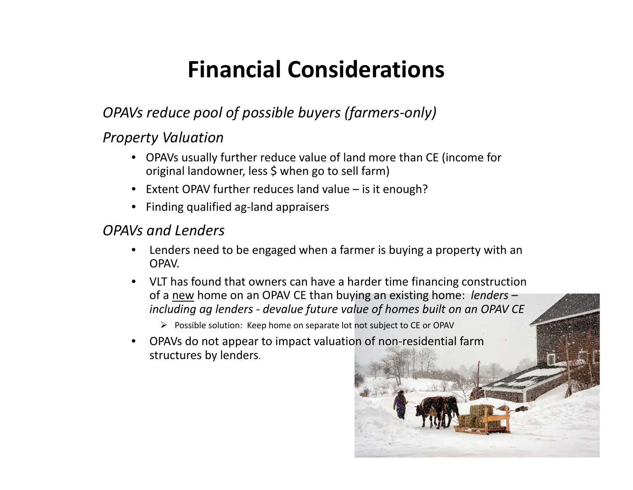# **Financial Considerations**

#### *OPAVs reduce pool of possible buyers (farmers‐only)*

#### *Property Valuation*

- OPAVs usually further reduce value of land more than CE (income for original landowner, less \$ when go to sell farm)
- Extent OPAV further reduces land value is it enough?
- Finding qualified ag‐land appraisers

#### *OPAVs and Lenders*

- $\bullet$  Lenders need to be engaged when <sup>a</sup> farmer is buying <sup>a</sup> property with an **OPAV**
- VLT has found that owners can have <sup>a</sup> harder time financing construction of a new home on an OPAV CE than buying an existing home: *lenders – including ag lenders ‐ devalue future value of homes built on an OPAV CE*
	- $\triangleright$  Possible solution: Keep home on separate lot not subject to CE or OPAV
- •● OPAVs do not appear to impact valuation of non-residential farm structures by lenders.